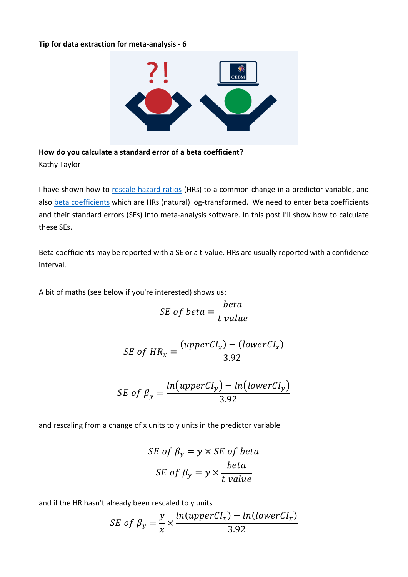## **Tip for data extraction for meta-analysis - 6**



**How do you calculate a standard error of a beta coefficient?**  Kathy Taylor

I have shown how to [rescale hazard ratios](https://www.cebm.ox.ac.uk/resources/data-extraction-tips-meta-analysis/prognostic-studies-report-measure-risk-different-scales) (HRs) to a common change in a predictor variable, and also [beta coefficients](https://www.cebm.ox.ac.uk/resources/data-extraction-tips-meta-analysis/study-reports-beta-coefficient-instead-of-hazard-ratio) which are HRs (natural) log-transformed. We need to enter beta coefficients and their standard errors (SEs) into meta-analysis software. In this post I'll show how to calculate these SEs.

Beta coefficients may be reported with a SE or a t-value. HRs are usually reported with a confidence interval.

A bit of maths (see below if you're interested) shows us:

$$
SE\ of\ beta = \frac{beta}{t\ value}
$$

$$
SE\ of\ HR_x = \frac{(upperCl_x) - (lowerCl_x)}{3.92}
$$

$$
SE\ of\ \beta_{y} = \frac{ln(upperCl_{y}) - ln(lowerCl_{y})}{3.92}
$$

and rescaling from a change of x units to y units in the predictor variable

$$
SE \text{ of } \beta_y = y \times SE \text{ of beta}
$$
\n
$$
SE \text{ of } \beta_y = y \times \frac{beta}{t \text{ value}}
$$

and if the HR hasn't already been rescaled to y units

$$
SE\ of\ \beta_y = \frac{y}{x} \times \frac{ln(upperCl_x) - ln(lowerCl_x)}{3.92}
$$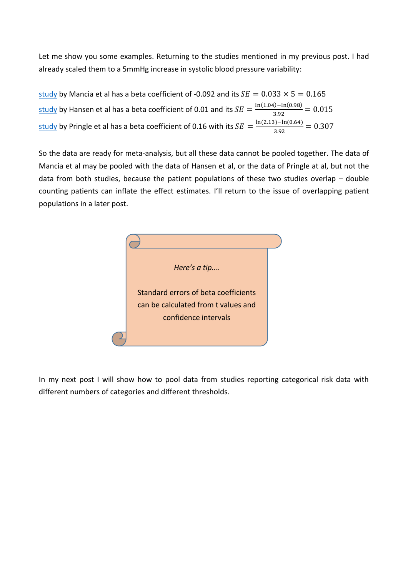Let me show you some examples. Returning to the studies mentioned in my previous post. I had already scaled them to a 5mmHg increase in systolic blood pressure variability:

[study](https://www.ncbi.nlm.nih.gov/pubmed/17452502) by Mancia et al has a beta coefficient of -0.092 and its  $SE = 0.033 \times 5 = 0.165$ <u>[study](https://www.ncbi.nlm.nih.gov/pubmed/20212270)</u> by Hansen et al has a beta coefficient of 0.01 and its  $SE = \frac{\ln(1.04) - \ln(0.98)}{3.03}$  $\frac{159 - \ln(0.96)}{3.92} = 0.015$ <u>[study](https://www.ncbi.nlm.nih.gov/pubmed/14654744)</u> by Pringle et al has a beta coefficient of 0.16 with its  $SE = \frac{\ln(2.13) - \ln(0.64)}{3.03}$  $\frac{3.92}{3.92} = 0.307$ 

So the data are ready for meta-analysis, but all these data cannot be pooled together. The data of Mancia et al may be pooled with the data of Hansen et al, or the data of Pringle at al, but not the data from both studies, because the patient populations of these two studies overlap – double counting patients can inflate the effect estimates. I'll return to the issue of overlapping patient populations in a later post.



In my next post I will show how to pool data from studies reporting categorical risk data with different numbers of categories and different thresholds.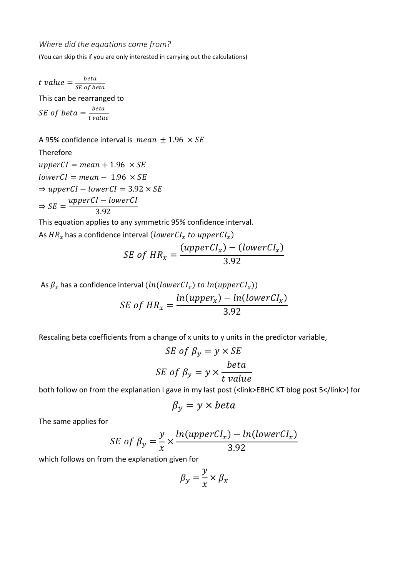*Where did the equations come from?*

(You can skip this if you are only interested in carrying out the calculations)

t value  $=\frac{beta}{SE}$ SE of beta This can be rearranged to SE of beta  $=\frac{beta}{t}$ t value

A 95% confidence interval is mean  $\pm$  1.96  $\times$  SE Therefore  $upperCl = mean + 1.96 \times SE$  $lowerCl = mean - 1.96 \times SE$  $\Rightarrow upperCl - lowerCl = 3.92 \times SE$  $\Rightarrow$  SE = upperCI – lowerCI 3.92

This equation applies to any symmetric 95% confidence interval.

As  $\mathit{HR}_{x}$  has a confidence interval (low $\mathit{erCl}_{x}$  to  $\mathit{upperCl}_{x})$ 

$$
SE\ of\ HR_x = \frac{(upperCl_x) - (lowerCl_x)}{3.92}
$$

As  $\beta_x$  has a confidence interval  $(\mathit{ln}(\mathit{lowerCl}_x)$  to  $\mathit{ln}(\mathit{upperCl}_x))$  $ln(upper_x) - ln(lowerCl_x)$ 

$$
SE\ of\ HR_x = \frac{ln(upper_x) - ln(uwerC1_x)}{3.92}
$$

Rescaling beta coefficients from a change of x units to y units in the predictor variable,

$$
SE \text{ of } \beta_y = y \times SE
$$
\n
$$
SE \text{ of } \beta_y = y \times \frac{beta}{t \text{ value}}
$$

both follow on from the explanation I gave in my last post (<link>EBHC KT blog post 5</link>) for

$$
\beta_{y} = y \times beta
$$

The same applies for

$$
SE\ of\ \beta_y = \frac{y}{x} \times \frac{ln(upperCl_x) - ln(lowerCl_x)}{3.92}
$$

which follows on from the explanation given for

$$
\beta_{y} = \frac{y}{x} \times \beta_{x}
$$